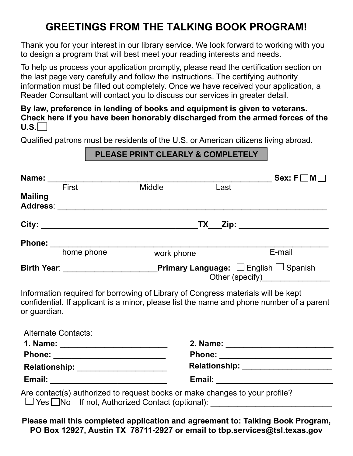## **GREETINGS FROM THE TALKING BOOK PROGRAM!**

Thank you for your interest in our library service. We look forward to working with you to design a program that will best meet your reading interests and needs.

To help us process your application promptly, please read the certification section on the last page very carefully and follow the instructions. The certifying authority information must be filled out completely. Once we have received your application, a Reader Consultant will contact you to discuss our services in greater detail.

#### **By law, preference in lending of books and equipment is given to veterans. Check here if you have been honorably discharged from the armed forces of the**   $U.S.$   $\vert$

Qualified patrons must be residents of the U.S. or American citizens living abroad.

## **PLEASE PRINT CLEARLY & COMPLETELY**

| Name:                      |              |                                                                                                               |      | $Sex: F \Box M$                                                                          |
|----------------------------|--------------|---------------------------------------------------------------------------------------------------------------|------|------------------------------------------------------------------------------------------|
|                            | <b>First</b> | <b>Middle</b>                                                                                                 | Last |                                                                                          |
| <b>Mailing</b>             |              |                                                                                                               |      |                                                                                          |
|                            |              |                                                                                                               |      | TX __Zip: _______________________                                                        |
|                            |              |                                                                                                               |      |                                                                                          |
|                            | home phone   | work phone                                                                                                    |      | E-mail                                                                                   |
|                            |              | Birth Year: _________________________Primary Language: □English □ Spanish<br>Other (specify)<br><u>Letter</u> |      |                                                                                          |
| or guardian.               |              | Information required for borrowing of Library of Congress materials will be kept                              |      | confidential. If applicant is a minor, please list the name and phone number of a parent |
| <b>Alternate Contacts:</b> |              |                                                                                                               |      |                                                                                          |
|                            |              |                                                                                                               |      |                                                                                          |
|                            |              |                                                                                                               |      |                                                                                          |
|                            |              |                                                                                                               |      | Relationship: _____________________                                                      |

Are contact(s) authorized to request books or make changes to your profile? □ Yes □No If not, Authorized Contact (optional): \_\_\_\_\_\_\_\_\_\_\_\_\_\_\_\_\_\_\_\_\_\_\_\_\_\_\_\_\_\_

**Email:** \_\_\_\_\_\_\_\_\_\_\_\_\_\_\_\_\_\_\_\_\_\_\_\_\_\_ **Email:** \_\_\_\_\_\_\_\_\_\_\_\_\_\_\_\_\_\_\_\_\_\_\_\_\_\_

**Please mail this completed application and agreement to: Talking Book Program, PO Box 12927, Austin TX 78711-2927 or email to tbp.services@tsl.texas.gov**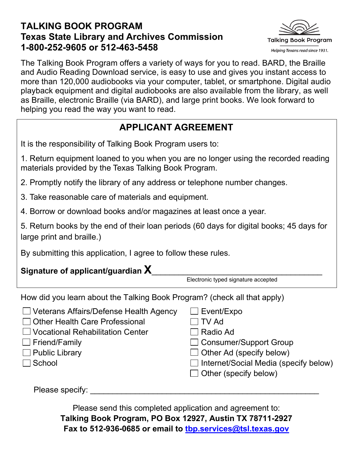### **TALKING BOOK PROGRAM Texas State Library and Archives Commission 1-800-252-9605 or 512-463-5458**



The Talking Book Program offers a variety of ways for you to read. BARD, the Braille and Audio Reading Download service, is easy to use and gives you instant access to more than 120,000 audiobooks via your computer, tablet, or smartphone. Digital audio playback equipment and digital audiobooks are also available from the library, as well as Braille, electronic Braille (via BARD), and large print books. We look forward to helping you read the way you want to read.

## **APPLICANT AGREEMENT**

It is the responsibility of Talking Book Program users to:

1. Return equipment loaned to you when you are no longer using the recorded reading materials provided by the Texas Talking Book Program.

2. Promptly notify the library of any address or telephone number changes.

3. Take reasonable care of materials and equipment.

4. Borrow or download books and/or magazines at least once a year.

5. Return books by the end of their loan periods (60 days for digital books; 45 days for large print and braille.)

By submitting this application, I agree to follow these rules.

# **Signature of applicant/guardian <sup>X</sup>**\_\_\_\_\_\_\_\_\_\_\_\_\_\_\_\_\_\_\_\_\_\_\_\_\_\_\_\_\_\_\_\_\_\_\_\_\_\_ Electronic typed signature accepted

How did you learn about the Talking Book Program? (check all that apply)

| $\Box$ Veterans Affairs/Defense Health Agency | $\Box$ Event/Expo                            |
|-----------------------------------------------|----------------------------------------------|
| □ Other Health Care Professional              | $\Box$ TV Ad                                 |
| □ Vocational Rehabilitation Center            | $\Box$ Radio Ad                              |
| $\Box$ Friend/Family                          | $\Box$ Consumer/Support Group                |
| $\Box$ Public Library                         | $\Box$ Other Ad (specify below)              |
| $\Box$ School                                 | $\Box$ Internet/Social Media (specify below) |
|                                               | $\Box$ Other (specify below)                 |
|                                               |                                              |

Please specify:

Please send this completed application and agreement to: **Talking Book Program, PO Box 12927, Austin TX 78711-2927 Fax to 512-936-0685 or email to tbp.services@tsl.texas.gov**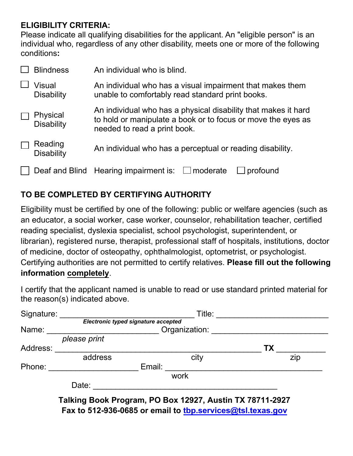#### **ELIGIBILITY CRITERIA:**

Please indicate all qualifying disabilities for the applicant. An "eligible person" is an individual who, regardless of any other disability, meets one or more of the following conditions**:** 

| <b>Blindness</b>              | An individual who is blind.                                                                                                                                    |  |  |
|-------------------------------|----------------------------------------------------------------------------------------------------------------------------------------------------------------|--|--|
| Visual<br><b>Disability</b>   | An individual who has a visual impairment that makes them<br>unable to comfortably read standard print books.                                                  |  |  |
| Physical<br><b>Disability</b> | An individual who has a physical disability that makes it hard<br>to hold or manipulate a book or to focus or move the eyes as<br>needed to read a print book. |  |  |
| Reading<br><b>Disability</b>  | An individual who has a perceptual or reading disability.                                                                                                      |  |  |
|                               | Deaf and Blind Hearing impairment is:<br>$\Box$ moderate<br>profound                                                                                           |  |  |

#### **TO BE COMPLETED BY CERTIFYING AUTHORITY**

Eligibility must be certified by one of the following: public or welfare agencies (such as an educator, a social worker, case worker, counselor, rehabilitation teacher, certified reading specialist, dyslexia specialist, school psychologist, superintendent, or librarian), registered nurse, therapist, professional staff of hospitals, institutions, doctor of medicine, doctor of osteopathy, ophthalmologist, optometrist, or psychologist. Certifying authorities are not permitted to certify relatives. **Please fill out the following information completely**.

I certify that the applicant named is unable to read or use standard printed material for the reason(s) indicated above.

| Signature: | Title:<br>Electronic typed signature accepted            |        |               |           |  |
|------------|----------------------------------------------------------|--------|---------------|-----------|--|
|            |                                                          |        |               |           |  |
| Name:      |                                                          |        | Organization: |           |  |
|            | please print                                             |        |               |           |  |
| Address:   |                                                          |        |               | <b>TX</b> |  |
|            | address                                                  |        | city          | zip       |  |
| Phone:     |                                                          | Email: |               |           |  |
|            |                                                          |        | work          |           |  |
|            | Date:                                                    |        |               |           |  |
|            | Talking Book Program, PO Box 12927, Austin TX 78711-2927 |        |               |           |  |

**Fax to 512-936-0685 or email to tbp.services@tsl.texas.gov**